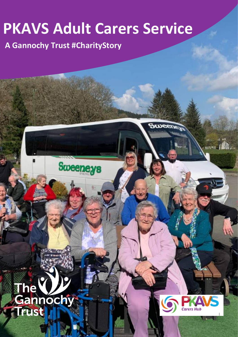## **PKAVS Adult Carers Service**

**A Gannochy Trust #CharityStory**

**Sweeneys** 

## P **The** Gannochy **Trust** l



**Sweene**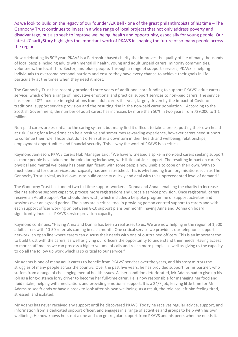As we look to build on the legacy of our founder A.K Bell - one of the great philanthropists of his time – The Gannochy Trust continues to invest in a wide range of local projects that not only address poverty and disadvantage, but also seek to improve wellbeing, health and opportunity, especially for young people. Our latest #CharityStory highlights the important work of PKAVS in shaping the future of so many people across the region.

Now celebrating its 50<sup>th</sup> year, PKAVS is a Perthshire based charity that improves the quality of life of many thousands of local people including adults with mental ill health, young and adult unpaid carers, minority communities, volunteers, the local Third Sector, and older people. Through a range of support services, PKAVS is helping individuals to overcome personal barriers and ensure they have every chance to achieve their goals in life, particularly at the times when they need it most.

The Gannochy Trust has recently provided three years of additional core funding to support PKAVS' adult carers service, which offers a range of innovative emotional and practical support services to non-paid carers. The service has seen a 40% increase in registrations from adult carers this year, largely driven by the impact of Covid on traditional support service provision and the resulting rise in the non-paid carer population. According to the Scottish Government, the number of adult carers has increases by more than 50% in two years from 729,000 to 1.1 million.

Non-paid carers are essential to the caring system, but many find it difficult to take a break, putting their own health at risk. Caring for a loved one can be a positive and sometimes rewarding experience, however carers need support to continue their role. Those that don't often suffer a downturn in their health and wellbeing, relationships, employment opportunities and financial security. This is why the work of PKAVS is so critical.

Raymond Jamieson, PKAVS Carers Hub Manager said: **"**We have witnessed a spike in non-paid carers seeking support as more people have taken on the role during lockdown, with little outside support. The resulting impact on carer's physical and mental wellbeing has been significant, with some people now unable to cope on their own. With so much demand for our services, our capacity has been stretched. This is why funding from organisations such as The Gannochy Trust is vital, as it allows us to build capacity quickly and deal with this unprecedented level of demand."

The Gannochy Trust has funded two full time support workers - Donna and Anna - enabling the charity to increase their telephone support capacity, process more registrations and upscale service provision. Once registered, carers receive an Adult Support Plan should they wish, which includes a bespoke programme of support activities and sessions over an agreed period. The plans are a critical tool in providing person centred support to carers and with each support officer working on between 8-10 support plans per month, having Anna and Donna on board significantly increases PKAVS service provision capacity.

Raymond continues: "Having Anna and Donna has been a real asset to us. We are now helping in the region of 1,500 adult carers with 40-50 referrals coming in each month. One critical service we provide is our telephone support network, an open line where carers can discuss their needs with one of our trained officers. This is an important tool to build trust with the carers, as well as giving our officers the opportunity to understand their needs. Having access to more staff means we can process a higher volume of calls and reach more people, as well as giving us the capacity to do all the follow up work which is so critical to our service."

Mr Adams is one of many adult carers to benefit from PKAVS' services over the years, and his story mirrors the struggles of many people across the country. Over the past five years, he has provided support for his partner, who suffers from a range of challenging mental health issues. As her condition deteriorated, Mr Adams had to give up his job as a long-distance lorry driver to become her full-time carer. He is now responsible for managing her food and fluid intake, helping with medication, and providing emotional support. It is a 24/7 job, leaving little time for Mr Adams to see friends or have a break to look after his own wellbeing. As a result, the role has left him feeling tired, stressed, and isolated.

Mr Adams has never received any support until he discovered PKAVS. Today he receives regular advice, support, and information from a dedicated support officer, and engages in a range of activities and groups to help with his own wellbeing. He now knows he is not alone and can get regular support from PKAVS and his peers when he needs it.